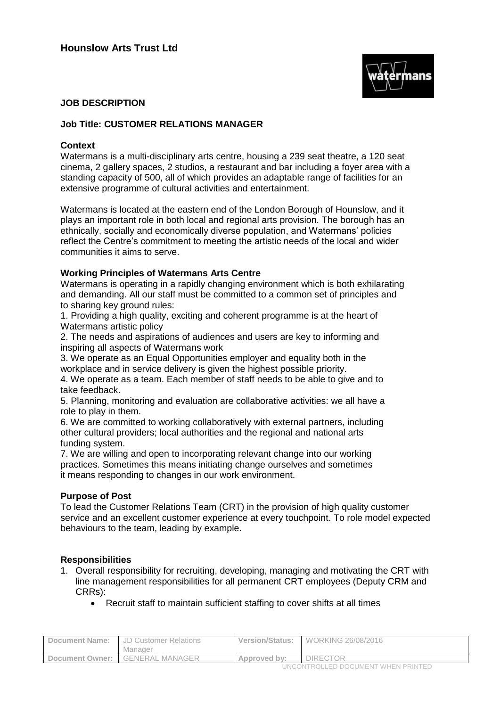

# **JOB DESCRIPTION**

# **Job Title: CUSTOMER RELATIONS MANAGER**

# **Context**

Watermans is a multi-disciplinary arts centre, housing a 239 seat theatre, a 120 seat cinema, 2 gallery spaces, 2 studios, a restaurant and bar including a foyer area with a standing capacity of 500, all of which provides an adaptable range of facilities for an extensive programme of cultural activities and entertainment.

Watermans is located at the eastern end of the London Borough of Hounslow, and it plays an important role in both local and regional arts provision. The borough has an ethnically, socially and economically diverse population, and Watermans' policies reflect the Centre's commitment to meeting the artistic needs of the local and wider communities it aims to serve.

### **Working Principles of Watermans Arts Centre**

Watermans is operating in a rapidly changing environment which is both exhilarating and demanding. All our staff must be committed to a common set of principles and to sharing key ground rules:

1. Providing a high quality, exciting and coherent programme is at the heart of Watermans artistic policy

2. The needs and aspirations of audiences and users are key to informing and inspiring all aspects of Watermans work

3. We operate as an Equal Opportunities employer and equality both in the workplace and in service delivery is given the highest possible priority.

4. We operate as a team. Each member of staff needs to be able to give and to take feedback.

5. Planning, monitoring and evaluation are collaborative activities: we all have a role to play in them.

6. We are committed to working collaboratively with external partners, including other cultural providers; local authorities and the regional and national arts funding system.

7. We are willing and open to incorporating relevant change into our working practices. Sometimes this means initiating change ourselves and sometimes it means responding to changes in our work environment.

#### **Purpose of Post**

To lead the Customer Relations Team (CRT) in the provision of high quality customer service and an excellent customer experience at every touchpoint. To role model expected behaviours to the team, leading by example.

#### **Responsibilities**

- 1. Overall responsibility for recruiting, developing, managing and motivating the CRT with line management responsibilities for all permanent CRT employees (Deputy CRM and CRRs):
	- Recruit staff to maintain sufficient staffing to cover shifts at all times

| Manager                                                                      |  |
|------------------------------------------------------------------------------|--|
| <b>DIRECTOR</b><br><b>GENERAL MANAGER</b><br>Document Owner:<br>Approved by: |  |

UNCONTROLLED DOCUMENT WHEN PRINTED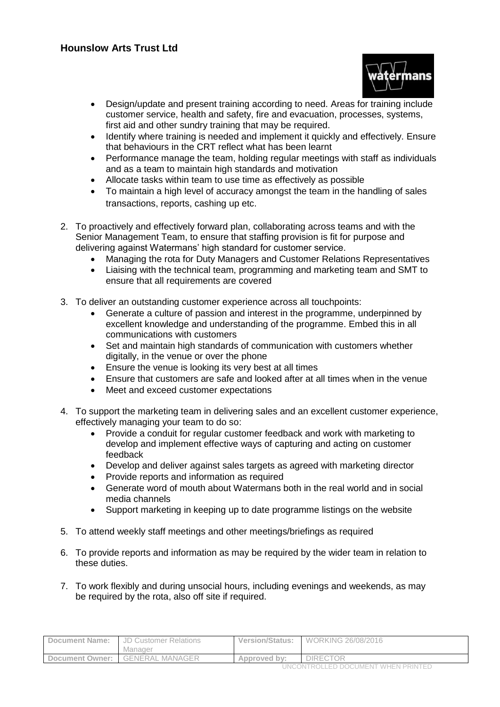

- Design/update and present training according to need. Areas for training include customer service, health and safety, fire and evacuation, processes, systems, first aid and other sundry training that may be required.
- Identify where training is needed and implement it quickly and effectively. Ensure that behaviours in the CRT reflect what has been learnt
- Performance manage the team, holding regular meetings with staff as individuals and as a team to maintain high standards and motivation
- Allocate tasks within team to use time as effectively as possible
- To maintain a high level of accuracy amongst the team in the handling of sales transactions, reports, cashing up etc.
- 2. To proactively and effectively forward plan, collaborating across teams and with the Senior Management Team, to ensure that staffing provision is fit for purpose and delivering against Watermans' high standard for customer service.
	- Managing the rota for Duty Managers and Customer Relations Representatives
	- Liaising with the technical team, programming and marketing team and SMT to ensure that all requirements are covered
- 3. To deliver an outstanding customer experience across all touchpoints:
	- Generate a culture of passion and interest in the programme, underpinned by excellent knowledge and understanding of the programme. Embed this in all communications with customers
	- Set and maintain high standards of communication with customers whether digitally, in the venue or over the phone
	- Ensure the venue is looking its very best at all times
	- Ensure that customers are safe and looked after at all times when in the venue
	- Meet and exceed customer expectations
- 4. To support the marketing team in delivering sales and an excellent customer experience, effectively managing your team to do so:
	- Provide a conduit for regular customer feedback and work with marketing to develop and implement effective ways of capturing and acting on customer feedback
	- Develop and deliver against sales targets as agreed with marketing director
	- Provide reports and information as required
	- Generate word of mouth about Watermans both in the real world and in social media channels
	- Support marketing in keeping up to date programme listings on the website
- 5. To attend weekly staff meetings and other meetings/briefings as required
- 6. To provide reports and information as may be required by the wider team in relation to these duties.
- 7. To work flexibly and during unsocial hours, including evenings and weekends, as may be required by the rota, also off site if required.

| <b>Document Name:</b> | JD Customer Relations<br>Manager | <b>Version/Status:</b> | WORKING 26/08/2016 |  |
|-----------------------|----------------------------------|------------------------|--------------------|--|
| Document Owner:       | <b>GENERAL MANAGER</b>           | Approved by:           | <b>DIRECTOR</b>    |  |
|                       |                                  |                        |                    |  |